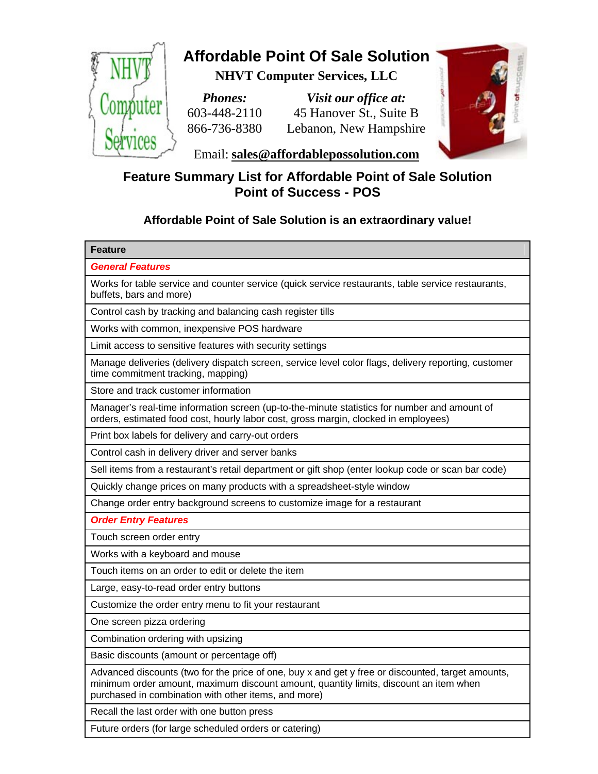

## **Affordable Point Of Sale Solution**

**NHVT Computer Services, LLC**

*Phones:* 603-448-2110 866-736-8380

*Visit our office at:* 45 Hanover St., Suite B Lebanon, New Hampshire



Email: **sales@affordablepossolution.com**

## **Feature Summary List for Affordable Point of Sale Solution Point of Success - POS**

## **Affordable Point of Sale Solution is an extraordinary value!**

| <b>Feature</b>                                                                                                                                                                                                                                     |
|----------------------------------------------------------------------------------------------------------------------------------------------------------------------------------------------------------------------------------------------------|
| <b>General Features</b>                                                                                                                                                                                                                            |
| Works for table service and counter service (quick service restaurants, table service restaurants,<br>buffets, bars and more)                                                                                                                      |
| Control cash by tracking and balancing cash register tills                                                                                                                                                                                         |
| Works with common, inexpensive POS hardware                                                                                                                                                                                                        |
| Limit access to sensitive features with security settings                                                                                                                                                                                          |
| Manage deliveries (delivery dispatch screen, service level color flags, delivery reporting, customer<br>time commitment tracking, mapping)                                                                                                         |
| Store and track customer information                                                                                                                                                                                                               |
| Manager's real-time information screen (up-to-the-minute statistics for number and amount of<br>orders, estimated food cost, hourly labor cost, gross margin, clocked in employees)                                                                |
| Print box labels for delivery and carry-out orders                                                                                                                                                                                                 |
| Control cash in delivery driver and server banks                                                                                                                                                                                                   |
| Sell items from a restaurant's retail department or gift shop (enter lookup code or scan bar code)                                                                                                                                                 |
| Quickly change prices on many products with a spreadsheet-style window                                                                                                                                                                             |
| Change order entry background screens to customize image for a restaurant                                                                                                                                                                          |
| <b>Order Entry Features</b>                                                                                                                                                                                                                        |
| Touch screen order entry                                                                                                                                                                                                                           |
| Works with a keyboard and mouse                                                                                                                                                                                                                    |
| Touch items on an order to edit or delete the item                                                                                                                                                                                                 |
| Large, easy-to-read order entry buttons                                                                                                                                                                                                            |
| Customize the order entry menu to fit your restaurant                                                                                                                                                                                              |
| One screen pizza ordering                                                                                                                                                                                                                          |
| Combination ordering with upsizing                                                                                                                                                                                                                 |
| Basic discounts (amount or percentage off)                                                                                                                                                                                                         |
| Advanced discounts (two for the price of one, buy x and get y free or discounted, target amounts,<br>minimum order amount, maximum discount amount, quantity limits, discount an item when<br>purchased in combination with other items, and more) |
| Recall the last order with one button press                                                                                                                                                                                                        |
| Future orders (for large scheduled orders or catering)                                                                                                                                                                                             |